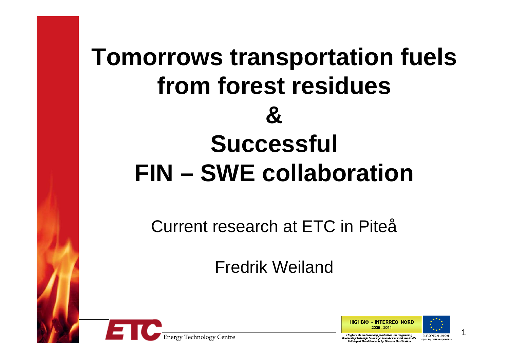# **Tomorrows transportation fuels from forest residues & Successful FIN – SWE collaboration**

Current research at ETC in Piteå

Fredrik Weiland





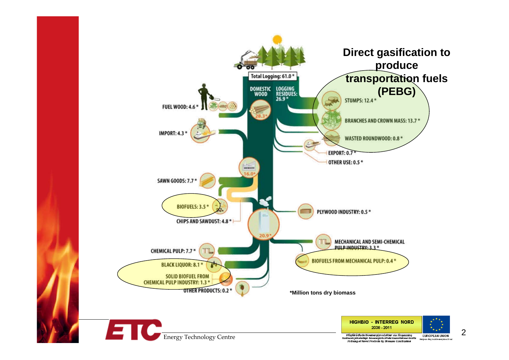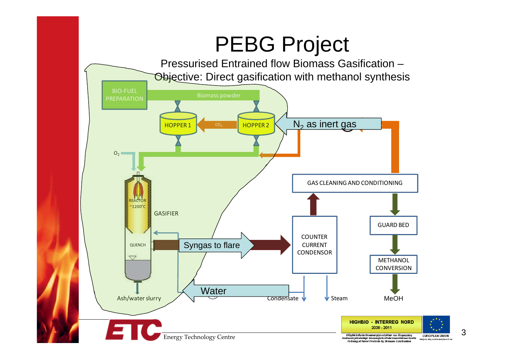## PEBG Project

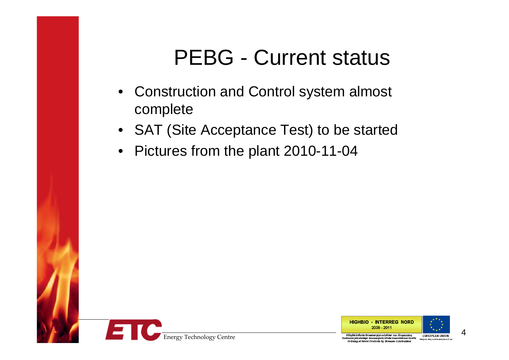## PEBG - Current status

- Construction and Control system almost complete
- SAT (Site Acceptance Test) to be started
- Pictures from the plant 2010-11-04





Korkaasti jalostattuja hioanarojatuottaita kaasutuksan kautta.

Refining of Novel Products by Biomass Gasification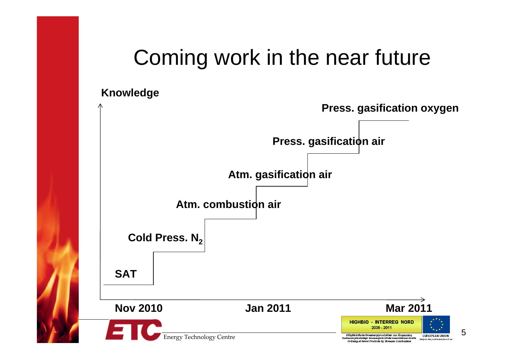## Coming work in the near future



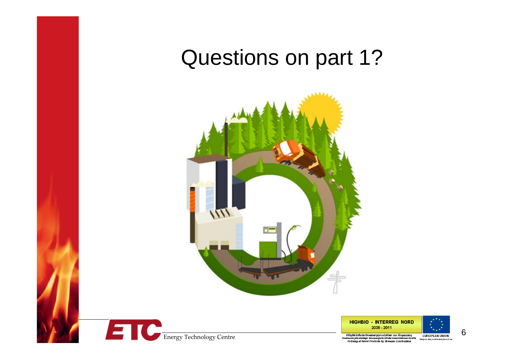#### Questions on part 1?





**HIGHBIO - INTERREG NORD** 2008 - 2011



t Högförädlade bioenergiprodukter via förgasning<br>Korkeasti jalostettuja bioenergiatuottelta kaasutuksen kautta<br>Refining of Novel Products by Biomass Gasification Excovery Regional Deuelopment Fund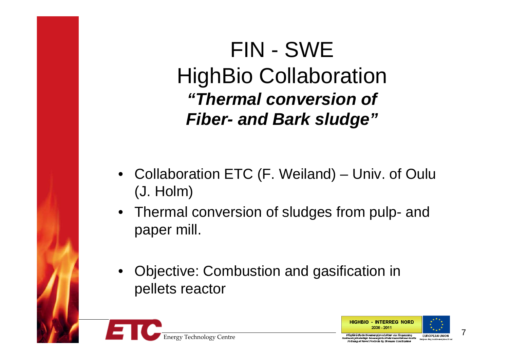#### FIN - SWE HighBio Collaboration *"Thermal conversion of Fiber- and Bark sludge"*

- Collaboration ETC (F. Weiland) Univ. of Oulu (J. Holm)
- Thermal conversion of sludges from pulp- and paper mill.
- Objective: Combustion and gasification in pellets reactor





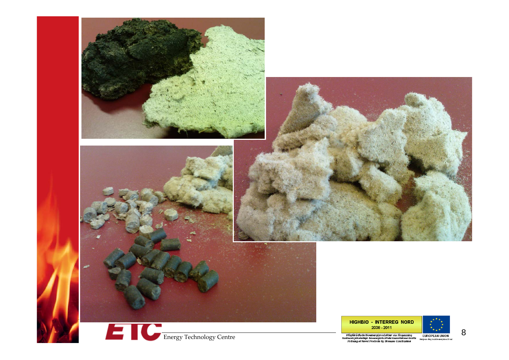

an Müller Högförädlade bioenergiprodukter via förgasning<br>Korkeasti jalostettuja bioenergiatuottelta kaasutuksen kautta<br>Refining of Novel Products by Biomass Gasification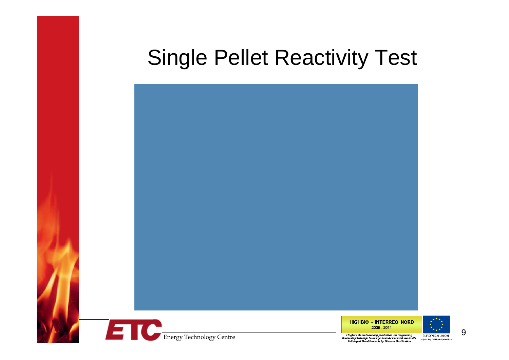#### Single Pellet Reactivity Test





Energy Technology Centre

t örgasning<br>Högförädlade bioenergiprodukter via förgasning<br>Korkeasti jalostettuja bioenergiatuotteita kaasutuksen kautta Excovery Regional Deuelopment Fund Refining of Novel Products by Biomass Gasification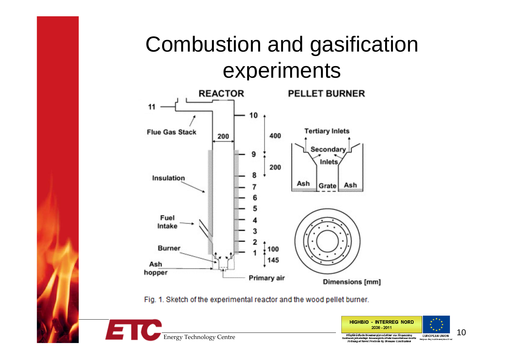### Combustion and gasification experiments



Fig. 1. Sketch of the experimental reactor and the wood pellet burner.



**HIGHBIO - INTERREG NORD** 2008 - 2011 Högförädlade bioenergiprodukter via förgasning **EUROPEAN UNION** Korkeasti jalostettuja bioenerojatuotteita kaasutuksen kautta Excoean Regional Depelopment Fund Refining of Novel Products by Biomass Gasification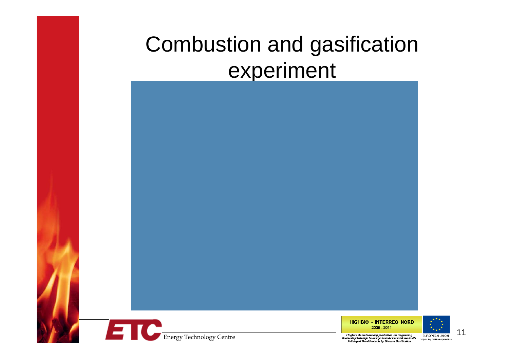## Combustion and gasification experiment



**HIGHBIO - INTERREG NORD** 2008 - 2011



Högförädlade bioenergiprodukter via förgasning Korkeasti jalostettuja bioenergiatuotteita kaasutuksen kautta Excovery Regional Depelopment Fand Refining of Novel Products by Biomass Gasification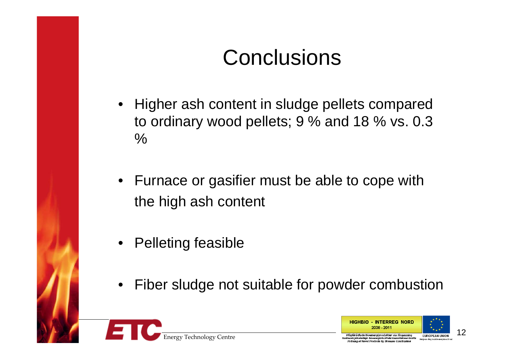## **Conclusions**

- Higher ash content in sludge pellets compared to ordinary wood pellets; 9 % and 18 % vs. 0.3  $\%$
- Furnace or gasifier must be able to cope with the high ash content
- Pelleting feasible
- Fiber sludge not suitable for powder combustion